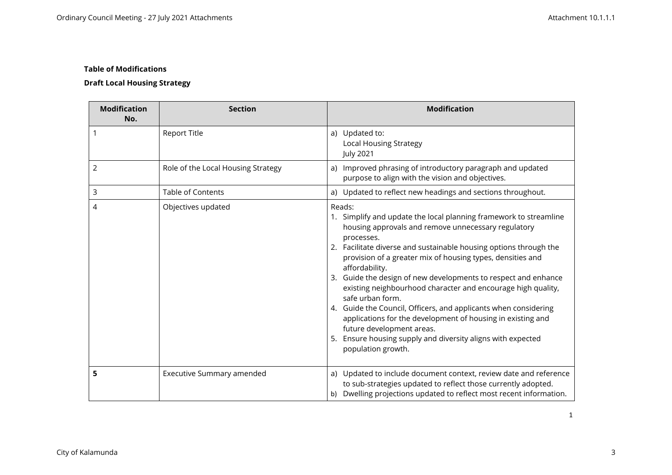# **Draft Local Housing Strategy**

| <b>Modification</b><br>No. | <b>Section</b>                     | <b>Modification</b>                                                                                                                                                                                                                                                                                                                                                                                                                                                                                                                                                                                                                                                                                             |
|----------------------------|------------------------------------|-----------------------------------------------------------------------------------------------------------------------------------------------------------------------------------------------------------------------------------------------------------------------------------------------------------------------------------------------------------------------------------------------------------------------------------------------------------------------------------------------------------------------------------------------------------------------------------------------------------------------------------------------------------------------------------------------------------------|
|                            | <b>Report Title</b>                | a) Updated to:<br><b>Local Housing Strategy</b><br><b>July 2021</b>                                                                                                                                                                                                                                                                                                                                                                                                                                                                                                                                                                                                                                             |
| 2                          | Role of the Local Housing Strategy | a) Improved phrasing of introductory paragraph and updated<br>purpose to align with the vision and objectives.                                                                                                                                                                                                                                                                                                                                                                                                                                                                                                                                                                                                  |
| 3                          | <b>Table of Contents</b>           | a) Updated to reflect new headings and sections throughout.                                                                                                                                                                                                                                                                                                                                                                                                                                                                                                                                                                                                                                                     |
| 4                          | Objectives updated                 | Reads:<br>1. Simplify and update the local planning framework to streamline<br>housing approvals and remove unnecessary regulatory<br>processes.<br>2. Facilitate diverse and sustainable housing options through the<br>provision of a greater mix of housing types, densities and<br>affordability.<br>3. Guide the design of new developments to respect and enhance<br>existing neighbourhood character and encourage high quality,<br>safe urban form.<br>4. Guide the Council, Officers, and applicants when considering<br>applications for the development of housing in existing and<br>future development areas.<br>5. Ensure housing supply and diversity aligns with expected<br>population growth. |
| 5                          | Executive Summary amended          | a) Updated to include document context, review date and reference<br>to sub-strategies updated to reflect those currently adopted.<br>b) Dwelling projections updated to reflect most recent information.                                                                                                                                                                                                                                                                                                                                                                                                                                                                                                       |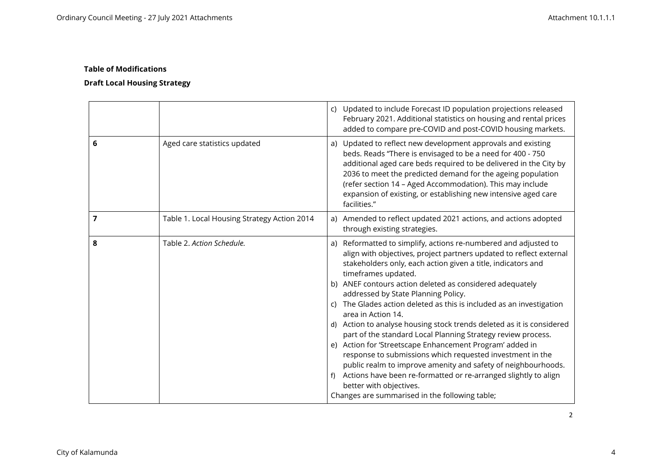|   |                                             | c) Updated to include Forecast ID population projections released<br>February 2021. Additional statistics on housing and rental prices<br>added to compare pre-COVID and post-COVID housing markets.                                                                                                                                                                                                                                                                                                                                                                                                                                                                                                                                                                                                                                                                                                                 |
|---|---------------------------------------------|----------------------------------------------------------------------------------------------------------------------------------------------------------------------------------------------------------------------------------------------------------------------------------------------------------------------------------------------------------------------------------------------------------------------------------------------------------------------------------------------------------------------------------------------------------------------------------------------------------------------------------------------------------------------------------------------------------------------------------------------------------------------------------------------------------------------------------------------------------------------------------------------------------------------|
| 6 | Aged care statistics updated                | a) Updated to reflect new development approvals and existing<br>beds. Reads "There is envisaged to be a need for 400 - 750<br>additional aged care beds required to be delivered in the City by<br>2036 to meet the predicted demand for the ageing population<br>(refer section 14 - Aged Accommodation). This may include<br>expansion of existing, or establishing new intensive aged care<br>facilities."                                                                                                                                                                                                                                                                                                                                                                                                                                                                                                        |
| 7 | Table 1. Local Housing Strategy Action 2014 | a) Amended to reflect updated 2021 actions, and actions adopted<br>through existing strategies.                                                                                                                                                                                                                                                                                                                                                                                                                                                                                                                                                                                                                                                                                                                                                                                                                      |
| 8 | Table 2. Action Schedule.                   | a) Reformatted to simplify, actions re-numbered and adjusted to<br>align with objectives, project partners updated to reflect external<br>stakeholders only, each action given a title, indicators and<br>timeframes updated.<br>b) ANEF contours action deleted as considered adequately<br>addressed by State Planning Policy.<br>c) The Glades action deleted as this is included as an investigation<br>area in Action 14.<br>d) Action to analyse housing stock trends deleted as it is considered<br>part of the standard Local Planning Strategy review process.<br>e) Action for 'Streetscape Enhancement Program' added in<br>response to submissions which requested investment in the<br>public realm to improve amenity and safety of neighbourhoods.<br>f) Actions have been re-formatted or re-arranged slightly to align<br>better with objectives.<br>Changes are summarised in the following table; |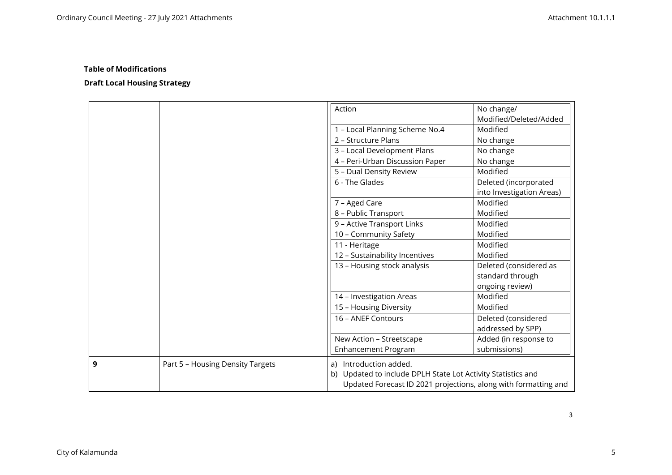|   |                                  | Action                                                          | No change/                |
|---|----------------------------------|-----------------------------------------------------------------|---------------------------|
|   |                                  |                                                                 | Modified/Deleted/Added    |
|   |                                  | 1 - Local Planning Scheme No.4                                  | Modified                  |
|   |                                  | 2 - Structure Plans                                             | No change                 |
|   |                                  | 3 - Local Development Plans                                     | No change                 |
|   |                                  | 4 - Peri-Urban Discussion Paper                                 | No change                 |
|   |                                  | 5 - Dual Density Review                                         | Modified                  |
|   |                                  | 6 - The Glades                                                  | Deleted (incorporated     |
|   |                                  |                                                                 | into Investigation Areas) |
|   |                                  | 7 - Aged Care                                                   | Modified                  |
|   |                                  | 8 - Public Transport                                            | Modified                  |
|   |                                  | 9 - Active Transport Links                                      | Modified                  |
|   |                                  | 10 - Community Safety                                           | Modified                  |
|   |                                  | 11 - Heritage                                                   | Modified                  |
|   |                                  | 12 - Sustainability Incentives                                  | Modified                  |
|   |                                  | 13 - Housing stock analysis                                     | Deleted (considered as    |
|   |                                  |                                                                 | standard through          |
|   |                                  |                                                                 | ongoing review)           |
|   |                                  | 14 - Investigation Areas                                        | Modified                  |
|   |                                  | 15 - Housing Diversity                                          | Modified                  |
|   |                                  | 16 - ANEF Contours                                              | Deleted (considered       |
|   |                                  |                                                                 | addressed by SPP)         |
|   |                                  | New Action - Streetscape                                        | Added (in response to     |
|   |                                  | <b>Enhancement Program</b>                                      | submissions)              |
| 9 | Part 5 - Housing Density Targets | a) Introduction added.                                          |                           |
|   |                                  | b) Updated to include DPLH State Lot Activity Statistics and    |                           |
|   |                                  | Updated Forecast ID 2021 projections, along with formatting and |                           |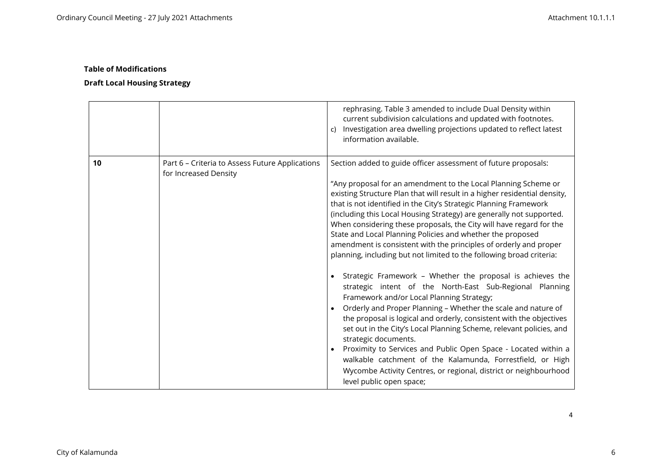# **Draft Local Housing Strategy**

|    |                                                                          | rephrasing. Table 3 amended to include Dual Density within<br>current subdivision calculations and updated with footnotes.<br>Investigation area dwelling projections updated to reflect latest<br>c)<br>information available.                                                                                                                                                                                                                                                                                                                                                                                                                                                                                                                                                                                                                                                                                                                                                                                                                                                                                                                                                                                                                                                            |
|----|--------------------------------------------------------------------------|--------------------------------------------------------------------------------------------------------------------------------------------------------------------------------------------------------------------------------------------------------------------------------------------------------------------------------------------------------------------------------------------------------------------------------------------------------------------------------------------------------------------------------------------------------------------------------------------------------------------------------------------------------------------------------------------------------------------------------------------------------------------------------------------------------------------------------------------------------------------------------------------------------------------------------------------------------------------------------------------------------------------------------------------------------------------------------------------------------------------------------------------------------------------------------------------------------------------------------------------------------------------------------------------|
| 10 | Part 6 - Criteria to Assess Future Applications<br>for Increased Density | Section added to guide officer assessment of future proposals:<br>"Any proposal for an amendment to the Local Planning Scheme or<br>existing Structure Plan that will result in a higher residential density,<br>that is not identified in the City's Strategic Planning Framework<br>(including this Local Housing Strategy) are generally not supported.<br>When considering these proposals, the City will have regard for the<br>State and Local Planning Policies and whether the proposed<br>amendment is consistent with the principles of orderly and proper<br>planning, including but not limited to the following broad criteria:<br>Strategic Framework - Whether the proposal is achieves the<br>strategic intent of the North-East Sub-Regional Planning<br>Framework and/or Local Planning Strategy;<br>Orderly and Proper Planning - Whether the scale and nature of<br>the proposal is logical and orderly, consistent with the objectives<br>set out in the City's Local Planning Scheme, relevant policies, and<br>strategic documents.<br>Proximity to Services and Public Open Space - Located within a<br>walkable catchment of the Kalamunda, Forrestfield, or High<br>Wycombe Activity Centres, or regional, district or neighbourhood<br>level public open space; |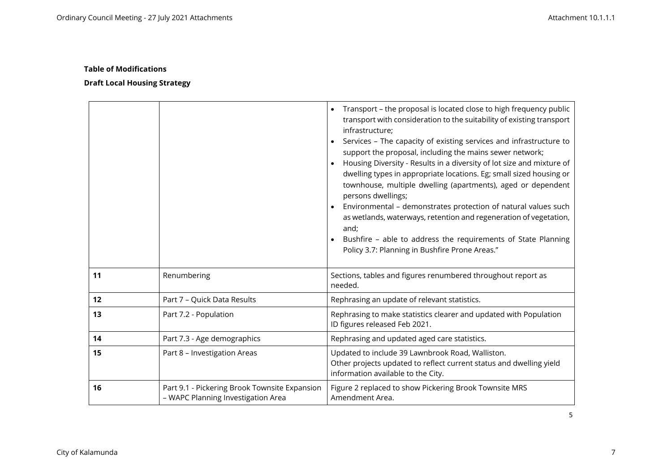|    |                                                                                     | Transport - the proposal is located close to high frequency public<br>$\bullet$<br>transport with consideration to the suitability of existing transport<br>infrastructure;<br>Services - The capacity of existing services and infrastructure to<br>$\bullet$<br>support the proposal, including the mains sewer network;<br>Housing Diversity - Results in a diversity of lot size and mixture of<br>dwelling types in appropriate locations. Eg; small sized housing or<br>townhouse, multiple dwelling (apartments), aged or dependent<br>persons dwellings;<br>Environmental - demonstrates protection of natural values such<br>$\bullet$<br>as wetlands, waterways, retention and regeneration of vegetation,<br>and;<br>Bushfire - able to address the requirements of State Planning<br>Policy 3.7: Planning in Bushfire Prone Areas." |
|----|-------------------------------------------------------------------------------------|-------------------------------------------------------------------------------------------------------------------------------------------------------------------------------------------------------------------------------------------------------------------------------------------------------------------------------------------------------------------------------------------------------------------------------------------------------------------------------------------------------------------------------------------------------------------------------------------------------------------------------------------------------------------------------------------------------------------------------------------------------------------------------------------------------------------------------------------------|
| 11 | Renumbering                                                                         | Sections, tables and figures renumbered throughout report as<br>needed.                                                                                                                                                                                                                                                                                                                                                                                                                                                                                                                                                                                                                                                                                                                                                                         |
| 12 | Part 7 - Quick Data Results                                                         | Rephrasing an update of relevant statistics.                                                                                                                                                                                                                                                                                                                                                                                                                                                                                                                                                                                                                                                                                                                                                                                                    |
| 13 | Part 7.2 - Population                                                               | Rephrasing to make statistics clearer and updated with Population<br>ID figures released Feb 2021.                                                                                                                                                                                                                                                                                                                                                                                                                                                                                                                                                                                                                                                                                                                                              |
| 14 | Part 7.3 - Age demographics                                                         | Rephrasing and updated aged care statistics.                                                                                                                                                                                                                                                                                                                                                                                                                                                                                                                                                                                                                                                                                                                                                                                                    |
| 15 | Part 8 - Investigation Areas                                                        | Updated to include 39 Lawnbrook Road, Walliston.<br>Other projects updated to reflect current status and dwelling yield<br>information available to the City.                                                                                                                                                                                                                                                                                                                                                                                                                                                                                                                                                                                                                                                                                   |
| 16 | Part 9.1 - Pickering Brook Townsite Expansion<br>- WAPC Planning Investigation Area | Figure 2 replaced to show Pickering Brook Townsite MRS<br>Amendment Area.                                                                                                                                                                                                                                                                                                                                                                                                                                                                                                                                                                                                                                                                                                                                                                       |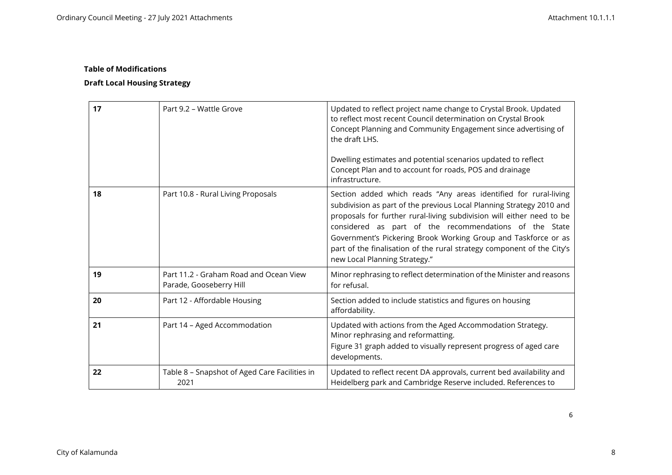# **Draft Local Housing Strategy**

| 17 | Part 9.2 - Wattle Grove                                           | Updated to reflect project name change to Crystal Brook. Updated<br>to reflect most recent Council determination on Crystal Brook<br>Concept Planning and Community Engagement since advertising of<br>the draft LHS.<br>Dwelling estimates and potential scenarios updated to reflect<br>Concept Plan and to account for roads, POS and drainage<br>infrastructure.                                                                                     |
|----|-------------------------------------------------------------------|----------------------------------------------------------------------------------------------------------------------------------------------------------------------------------------------------------------------------------------------------------------------------------------------------------------------------------------------------------------------------------------------------------------------------------------------------------|
| 18 | Part 10.8 - Rural Living Proposals                                | Section added which reads "Any areas identified for rural-living<br>subdivision as part of the previous Local Planning Strategy 2010 and<br>proposals for further rural-living subdivision will either need to be<br>considered as part of the recommendations of the State<br>Government's Pickering Brook Working Group and Taskforce or as<br>part of the finalisation of the rural strategy component of the City's<br>new Local Planning Strategy." |
| 19 | Part 11.2 - Graham Road and Ocean View<br>Parade, Gooseberry Hill | Minor rephrasing to reflect determination of the Minister and reasons<br>for refusal.                                                                                                                                                                                                                                                                                                                                                                    |
| 20 | Part 12 - Affordable Housing                                      | Section added to include statistics and figures on housing<br>affordability.                                                                                                                                                                                                                                                                                                                                                                             |
| 21 | Part 14 - Aged Accommodation                                      | Updated with actions from the Aged Accommodation Strategy.<br>Minor rephrasing and reformatting.<br>Figure 31 graph added to visually represent progress of aged care<br>developments.                                                                                                                                                                                                                                                                   |
| 22 | Table 8 - Snapshot of Aged Care Facilities in<br>2021             | Updated to reflect recent DA approvals, current bed availability and<br>Heidelberg park and Cambridge Reserve included. References to                                                                                                                                                                                                                                                                                                                    |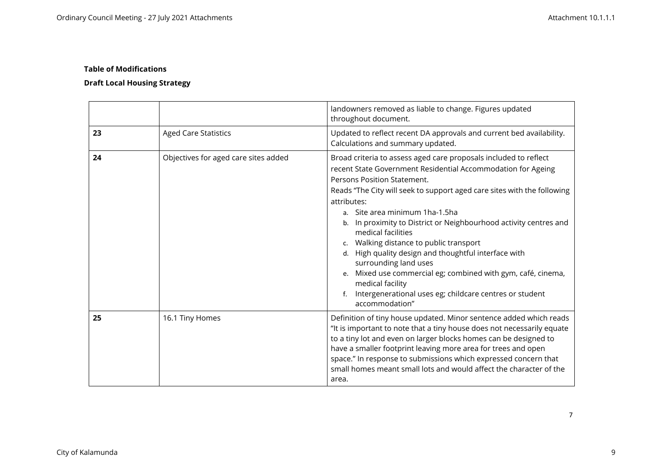# **Draft Local Housing Strategy**

|    |                                      | landowners removed as liable to change. Figures updated<br>throughout document.                                                                                                                                                                                                                                                                                                                                                                                                                                                                                                                                                                                                     |
|----|--------------------------------------|-------------------------------------------------------------------------------------------------------------------------------------------------------------------------------------------------------------------------------------------------------------------------------------------------------------------------------------------------------------------------------------------------------------------------------------------------------------------------------------------------------------------------------------------------------------------------------------------------------------------------------------------------------------------------------------|
| 23 | <b>Aged Care Statistics</b>          | Updated to reflect recent DA approvals and current bed availability.<br>Calculations and summary updated.                                                                                                                                                                                                                                                                                                                                                                                                                                                                                                                                                                           |
| 24 | Objectives for aged care sites added | Broad criteria to assess aged care proposals included to reflect<br>recent State Government Residential Accommodation for Ageing<br>Persons Position Statement.<br>Reads "The City will seek to support aged care sites with the following<br>attributes:<br>a. Site area minimum 1ha-1.5ha<br>b. In proximity to District or Neighbourhood activity centres and<br>medical facilities<br>c. Walking distance to public transport<br>d. High quality design and thoughtful interface with<br>surrounding land uses<br>e. Mixed use commercial eg; combined with gym, café, cinema,<br>medical facility<br>Intergenerational uses eg; childcare centres or student<br>accommodation" |
| 25 | 16.1 Tiny Homes                      | Definition of tiny house updated. Minor sentence added which reads<br>"It is important to note that a tiny house does not necessarily equate<br>to a tiny lot and even on larger blocks homes can be designed to<br>have a smaller footprint leaving more area for trees and open<br>space." In response to submissions which expressed concern that<br>small homes meant small lots and would affect the character of the<br>area.                                                                                                                                                                                                                                                 |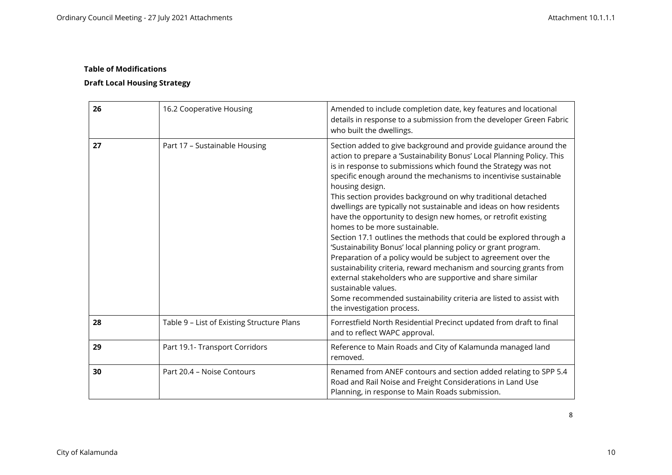# **Draft Local Housing Strategy**

| 26 | 16.2 Cooperative Housing                   | Amended to include completion date, key features and locational<br>details in response to a submission from the developer Green Fabric<br>who built the dwellings.                                                                                                                                                                                                                                                                                                                                                                                                                                                                                                                                                                                                                                                                                                                                                                                                                                                    |
|----|--------------------------------------------|-----------------------------------------------------------------------------------------------------------------------------------------------------------------------------------------------------------------------------------------------------------------------------------------------------------------------------------------------------------------------------------------------------------------------------------------------------------------------------------------------------------------------------------------------------------------------------------------------------------------------------------------------------------------------------------------------------------------------------------------------------------------------------------------------------------------------------------------------------------------------------------------------------------------------------------------------------------------------------------------------------------------------|
| 27 | Part 17 - Sustainable Housing              | Section added to give background and provide guidance around the<br>action to prepare a 'Sustainability Bonus' Local Planning Policy. This<br>is in response to submissions which found the Strategy was not<br>specific enough around the mechanisms to incentivise sustainable<br>housing design.<br>This section provides background on why traditional detached<br>dwellings are typically not sustainable and ideas on how residents<br>have the opportunity to design new homes, or retrofit existing<br>homes to be more sustainable.<br>Section 17.1 outlines the methods that could be explored through a<br>'Sustainability Bonus' local planning policy or grant program.<br>Preparation of a policy would be subject to agreement over the<br>sustainability criteria, reward mechanism and sourcing grants from<br>external stakeholders who are supportive and share similar<br>sustainable values.<br>Some recommended sustainability criteria are listed to assist with<br>the investigation process. |
| 28 | Table 9 - List of Existing Structure Plans | Forrestfield North Residential Precinct updated from draft to final<br>and to reflect WAPC approval.                                                                                                                                                                                                                                                                                                                                                                                                                                                                                                                                                                                                                                                                                                                                                                                                                                                                                                                  |
| 29 | Part 19.1- Transport Corridors             | Reference to Main Roads and City of Kalamunda managed land<br>removed.                                                                                                                                                                                                                                                                                                                                                                                                                                                                                                                                                                                                                                                                                                                                                                                                                                                                                                                                                |
| 30 | Part 20.4 - Noise Contours                 | Renamed from ANEF contours and section added relating to SPP 5.4<br>Road and Rail Noise and Freight Considerations in Land Use<br>Planning, in response to Main Roads submission.                                                                                                                                                                                                                                                                                                                                                                                                                                                                                                                                                                                                                                                                                                                                                                                                                                     |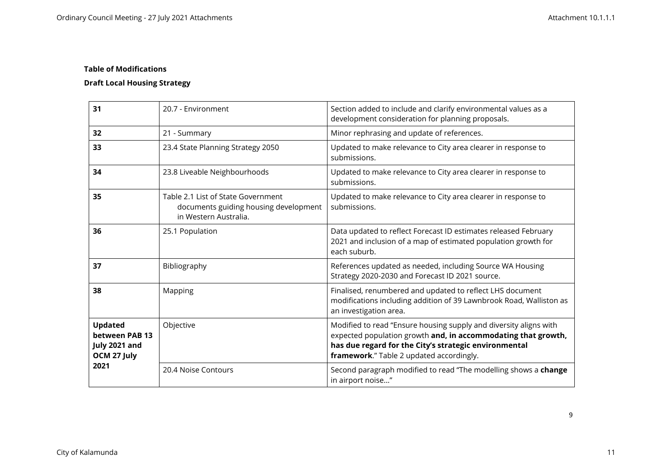# **Draft Local Housing Strategy**

| 31                                                               | 20.7 - Environment                                                                                   | Section added to include and clarify environmental values as a<br>development consideration for planning proposals.                                                                                                                     |
|------------------------------------------------------------------|------------------------------------------------------------------------------------------------------|-----------------------------------------------------------------------------------------------------------------------------------------------------------------------------------------------------------------------------------------|
| 32                                                               | 21 - Summary                                                                                         | Minor rephrasing and update of references.                                                                                                                                                                                              |
| 33                                                               | 23.4 State Planning Strategy 2050                                                                    | Updated to make relevance to City area clearer in response to<br>submissions.                                                                                                                                                           |
| 34                                                               | 23.8 Liveable Neighbourhoods                                                                         | Updated to make relevance to City area clearer in response to<br>submissions.                                                                                                                                                           |
| 35                                                               | Table 2.1 List of State Government<br>documents guiding housing development<br>in Western Australia. | Updated to make relevance to City area clearer in response to<br>submissions.                                                                                                                                                           |
| 36                                                               | 25.1 Population                                                                                      | Data updated to reflect Forecast ID estimates released February<br>2021 and inclusion of a map of estimated population growth for<br>each suburb.                                                                                       |
| 37                                                               | Bibliography                                                                                         | References updated as needed, including Source WA Housing<br>Strategy 2020-2030 and Forecast ID 2021 source.                                                                                                                            |
| 38                                                               | Mapping                                                                                              | Finalised, renumbered and updated to reflect LHS document<br>modifications including addition of 39 Lawnbrook Road, Walliston as<br>an investigation area.                                                                              |
| <b>Updated</b><br>between PAB 13<br>July 2021 and<br>OCM 27 July | Objective                                                                                            | Modified to read "Ensure housing supply and diversity aligns with<br>expected population growth and, in accommodating that growth,<br>has due regard for the City's strategic environmental<br>framework." Table 2 updated accordingly. |
| 2021                                                             | 20.4 Noise Contours                                                                                  | Second paragraph modified to read "The modelling shows a change<br>in airport noise"                                                                                                                                                    |